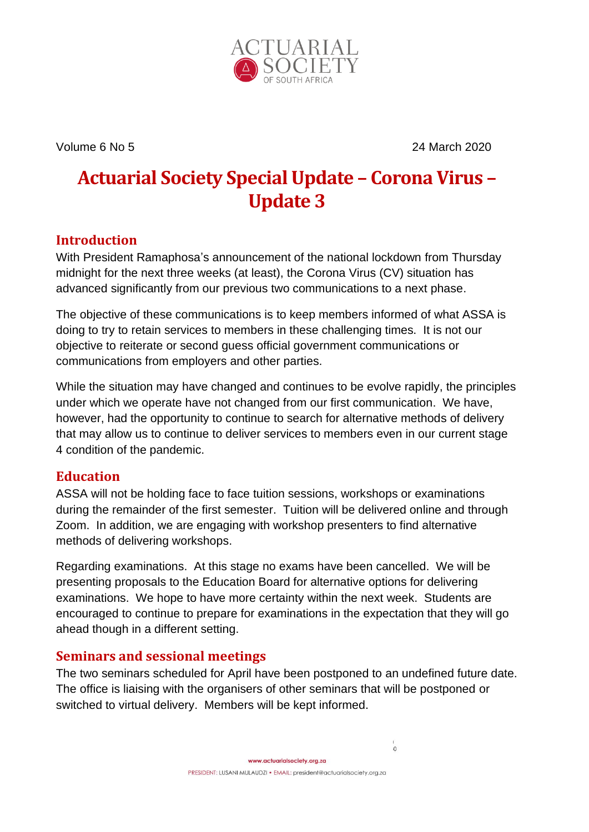

Volume 6 No 5 24 March 2020

# **Actuarial Society Special Update – Corona Virus – Update 3**

## **Introduction**

With President Ramaphosa's announcement of the national lockdown from Thursday midnight for the next three weeks (at least), the Corona Virus (CV) situation has advanced significantly from our previous two communications to a next phase.

The objective of these communications is to keep members informed of what ASSA is doing to try to retain services to members in these challenging times. It is not our objective to reiterate or second guess official government communications or communications from employers and other parties.

While the situation may have changed and continues to be evolve rapidly, the principles under which we operate have not changed from our first communication. We have, however, had the opportunity to continue to search for alternative methods of delivery that may allow us to continue to deliver services to members even in our current stage 4 condition of the pandemic.

### **Education**

ASSA will not be holding face to face tuition sessions, workshops or examinations during the remainder of the first semester. Tuition will be delivered online and through Zoom. In addition, we are engaging with workshop presenters to find alternative methods of delivering workshops.

Regarding examinations. At this stage no exams have been cancelled. We will be presenting proposals to the Education Board for alternative options for delivering examinations. We hope to have more certainty within the next week. Students are encouraged to continue to prepare for examinations in the expectation that they will go ahead though in a different setting.

### **Seminars and sessional meetings**

The two seminars scheduled for April have been postponed to an undefined future date. The office is liaising with the organisers of other seminars that will be postponed or switched to virtual delivery. Members will be kept informed.

 $\circ$